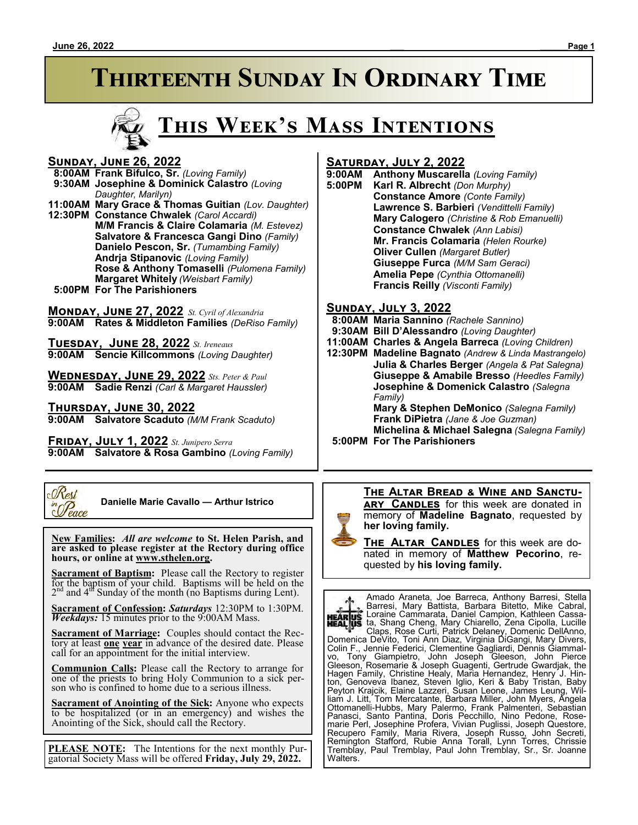# **Thirteenth Sunday In Ordinary Time**



#### **Sunday, June 26, 2022**

 **8:00AM Frank Bifulco, Sr.** *(Loving Family)*  **9:30AM Josephine & Dominick Calastro** *(Loving Daughter, Marilyn)* **11:00AM Mary Grace & Thomas Guitian** *(Lov. Daughter)* **12:30PM Constance Chwalek** *(Carol Accardi)* **M/M Francis & Claire Colamaria** *(M. Estevez)* **Salvatore & Francesca Gangi Dino** *(Family)* **Danielo Pescon, Sr.** *(Tumambing Family)* **Andrja Stipanovic** *(Loving Family)* **Rose & Anthony Tomaselli** *(Pulomena Family)* **Margaret Whitely** *(Weisbart Family)*  **5:00PM For The Parishioners**

**Monday, June 27, 2022** *St. Cyril of Alexandria* **9:00AM Rates & Middleton Families** *(DeRiso Family)*

**Tuesday, June 28, 2022** *St. Ireneaus* **9:00AM Sencie Killcommons** *(Loving Daughter)*

**Wednesday, June 29, 2022** *Sts. Peter & Paul* **9:00AM Sadie Renzi** *(Carl & Margaret Haussler)*

**Thursday, June 30, 2022**

**9:00AM Salvatore Scaduto** *(M/M Frank Scaduto)*

**Friday, July 1, 2022** *St. Junipero Serra* **9:00AM Salvatore & Rosa Gambino** *(Loving Family)*



 **Danielle Marie Cavallo — Arthur Istrico**

 **New Families:** *All are welcome* **to St. Helen Parish, and are asked to please register at the Rectory during office hours, or online at www.sthelen.org.**

**Sacrament of Baptism:**Please call the Rectory to register for the baptism of your child. Baptisms will be held on the  $2<sup>nd</sup>$  and  $4<sup>df</sup>$  Sunday of the month (no Baptisms during Lent).

**Sacrament of Confession:** *Saturdays* 12:30PM to 1:30PM. *Weekdays:* 15 minutes prior to the 9:00AM Mass.

**Sacrament of Marriage:**Couples should contact the Rectory at least **one year** in advance of the desired date. Please call for an appointment for the initial interview.

**Communion Calls:** Please call the Rectory to arrange for one of the priests to bring Holy Communion to a sick person who is confined to home due to a serious illness.

**Sacrament of Anointing of the Sick:** Anyone who expects to be hospitalized (or in an emergency) and wishes the Anointing of the Sick, should call the Rectory.

**PLEASE NOTE:** The Intentions for the next monthly Purgatorial Society Mass will be offered **Friday, July 29, 2022.**

#### **Saturday, July 2, 2022**

**9:00AM Anthony Muscarella** *(Loving Family)* **Karl R. Albrecht** (Don Murphy) **Constance Amore** *(Conte Family)* **Lawrence S. Barbieri** *(Vendittelli Family)* **Mary Calogero** *(Christine & Rob Emanuelli)* **Constance Chwalek** *(Ann Labisi)* **Mr. Francis Colamaria** *(Helen Rourke)*

**Oliver Cullen** *(Margaret Butler)* **Giuseppe Furca** *(M/M Sam Geraci)* **Amelia Pepe** *(Cynthia Ottomanelli)* **Francis Reilly** *(Visconti Family)*

#### **Sunday, July 3, 2022**

 **8:00AM Maria Sannino** *(Rachele Sannino)*

- **9:30AM Bill D'Alessandro** *(Loving Daughter)*
- **11:00AM Charles & Angela Barreca** *(Loving Children)*
- **12:30PM Madeline Bagnato** *(Andrew & Linda Mastrangelo)* **Julia & Charles Berger** *(Angela & Pat Salegna)* **Giuseppe & Amabile Bresso** *(Heedles Family)* **Josephine & Domenick Calastro** *(Salegna Family)* **Mary & Stephen DeMonico** *(Salegna Family)*

**Frank DiPietra** *(Jane & Joe Guzman)* **Michelina & Michael Salegna** *(Salegna Family)*

 **5:00PM For The Parishioners**

### **The Altar Bread & Wine and Sanctu-**



**ARY CANDLES** for this week are donated in memory of **Madeline Bagnato**, requested by **her loving family.**

**THE ALTAR CANDLES** for this week are donated in memory of **Matthew Pecorino**, requested by **his loving family.**

Amado Araneta, Joe Barreca, Anthony Barresi, Stella Barresi, Mary Battista, Barbara Bitetto, Mike Cabral, Loraine Cammarata, Daniel Campion, Kathleen Cassata, Shang Cheng, Mary Chiarello, Zena Cipolla, Lucille Claps, Rose Curti, Patrick Delaney, Domenic DellAnno, Domenica DeVito, Toni Ann Diaz, Virginia DiGangi, Mary Divers, Colin F., Jennie Federici, Clementine Gagliardi, Dennis Giammalvo, Tony Giampietro, John Joseph Gleeson, John Pierce Gleeson, Rosemarie & Joseph Guagenti, Gertrude Gwardjak, the Hagen Family, Christine Healy, Maria Hernandez, Henry J. Hinton, Genoveva Ibanez, Steven Iglio, Keri & Baby Tristan, Baby Peyton Krajcik, Elaine Lazzeri, Susan Leone, James Leung, William J. Litt, Tom Mercatante, Barbara Miller, John Myers, Angela Ottomanelli-Hubbs, Mary Palermo, Frank Palmenteri, Sebastian Panasci, Santo Pantina, Doris Pecchillo, Nino Pedone, Rosemarie Perl, Josephine Profera, Vivian Puglissi, Joseph Questore, Recupero Family, Maria Rivera, Joseph Russo, John Secreti, Remington Stafford, Rubie Anna Torall, Lynn Torres, Chrissie Tremblay, Paul Tremblay, Paul John Tremblay, Sr., Sr. Joanne Walters.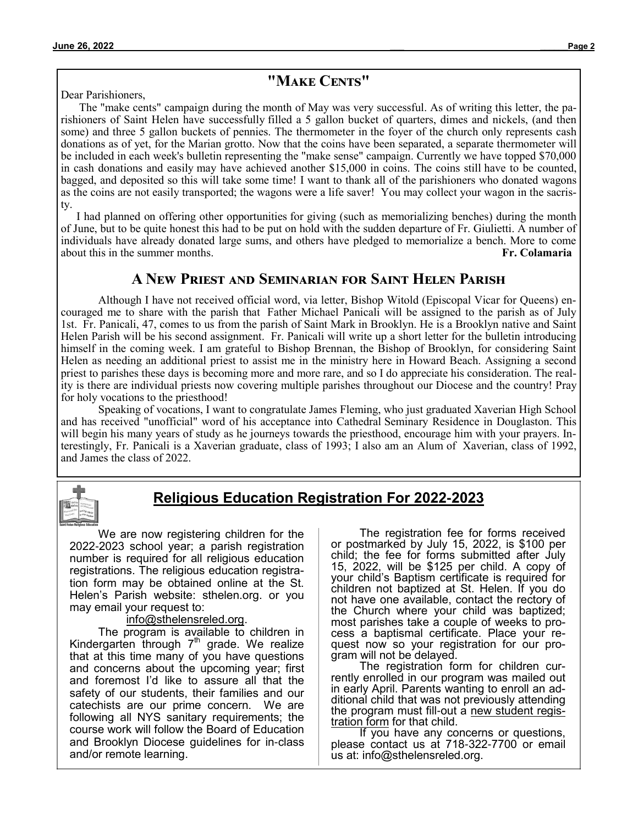### **"Make Cents"**

Dear Parishioners,

The "make cents" campaign during the month of May was very successful. As of writing this letter, the parishioners of Saint Helen have successfully filled a 5 gallon bucket of quarters, dimes and nickels, (and then some) and three 5 gallon buckets of pennies. The thermometer in the foyer of the church only represents cash donations as of yet, for the Marian grotto. Now that the coins have been separated, a separate thermometer will be included in each week's bulletin representing the "make sense" campaign. Currently we have topped \$70,000 in cash donations and easily may have achieved another \$15,000 in coins. The coins still have to be counted, bagged, and deposited so this will take some time! I want to thank all of the parishioners who donated wagons as the coins are not easily transported; the wagons were a life saver! You may collect your wagon in the sacristy.

I had planned on offering other opportunities for giving (such as memorializing benches) during the month of June, but to be quite honest this had to be put on hold with the sudden departure of Fr. Giulietti. A number of individuals have already donated large sums, and others have pledged to memorialize a bench. More to come about this in the summer months. **Fr. Colamaria**

### **A New Priest and Seminarian for Saint Helen Parish**

Although I have not received official word, via letter, Bishop Witold (Episcopal Vicar for Queens) encouraged me to share with the parish that Father Michael Panicali will be assigned to the parish as of July 1st. Fr. Panicali, 47, comes to us from the parish of Saint Mark in Brooklyn. He is a Brooklyn native and Saint Helen Parish will be his second assignment. Fr. Panicali will write up a short letter for the bulletin introducing himself in the coming week. I am grateful to Bishop Brennan, the Bishop of Brooklyn, for considering Saint Helen as needing an additional priest to assist me in the ministry here in Howard Beach. Assigning a second priest to parishes these days is becoming more and more rare, and so I do appreciate his consideration. The reality is there are individual priests now covering multiple parishes throughout our Diocese and the country! Pray for holy vocations to the priesthood!

Speaking of vocations, I want to congratulate James Fleming, who just graduated Xaverian High School and has received "unofficial" word of his acceptance into Cathedral Seminary Residence in Douglaston. This will begin his many years of study as he journeys towards the priesthood, encourage him with your prayers. Interestingly, Fr. Panicali is a Xaverian graduate, class of 1993; I also am an Alum of Xaverian, class of 1992, and James the class of 2022.



### **Religious Education Registration For 2022-2023**

We are now registering children for the 2022-2023 school year; a parish registration number is required for all religious education registrations. The religious education registration form may be obtained online at the St. Helen's Parish website: sthelen.org. or you may email your request to:

#### [info@sthelensreled.org.](mailto:info@sthelensreled.org)

The program is available to children in Kindergarten through  $7<sup>th</sup>$  grade. We realize that at this time many of you have questions and concerns about the upcoming year; first and foremost I'd like to assure all that the safety of our students, their families and our catechists are our prime concern. We are following all NYS sanitary requirements; the course work will follow the Board of Education and Brooklyn Diocese guidelines for in-class and/or remote learning.

The registration fee for forms received or postmarked by July 15, 2022, is \$100 per child; the fee for forms submitted after July 15, 2022, will be \$125 per child. A copy of your child's Baptism certificate is required for children not baptized at St. Helen. If you do not have one available, contact the rectory of the Church where your child was baptized; most parishes take a couple of weeks to process a baptismal certificate. Place your request now so your registration for our program will not be delayed.

The registration form for children currently enrolled in our program was mailed out in early April. Parents wanting to enroll an additional child that was not previously attending the program must fill-out a new student registration form for that child.

If you have any concerns or questions, please contact us at 718-322-7700 or email us at: info@sthelensreled.org.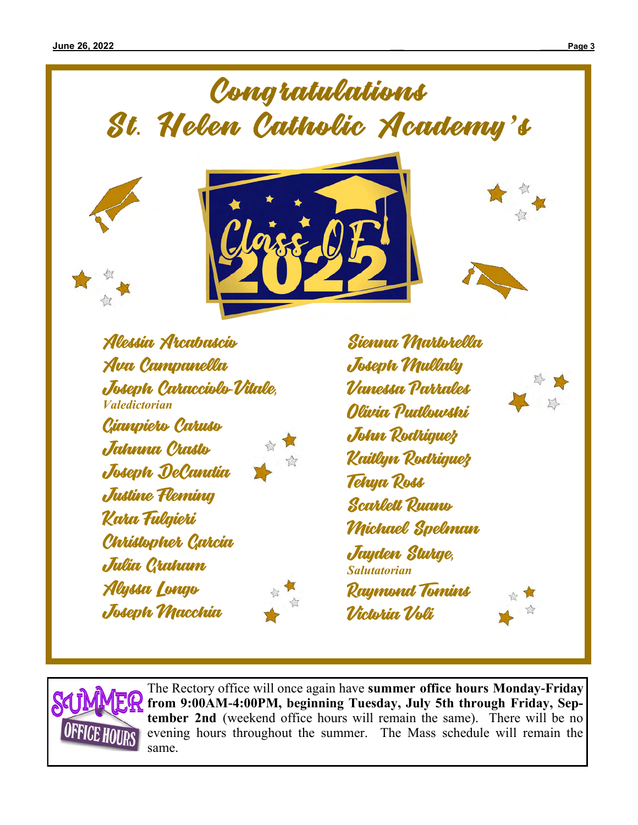



The Rectory office will once again have **summer office hours Monday-Friday from 9:00AM-4:00PM, beginning Tuesday, July 5th through Friday, September 2nd** (weekend office hours will remain the same). There will be no evening hours throughout the summer. The Mass schedule will remain the same.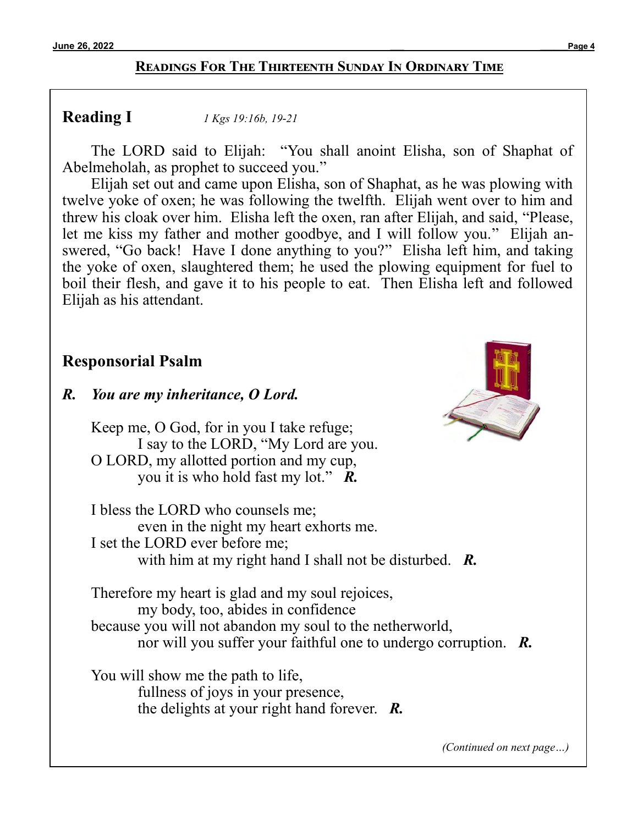### **Readings For The Thirteenth Sunday In Ordinary Time**

**Reading I** *[1 Kgs 19:16b, 19](https://bible.usccb.org/bible/1kings/19?16)-<sup>21</sup>*

The LORD said to Elijah: "You shall anoint Elisha, son of Shaphat of Abelmeholah, as prophet to succeed you."

Elijah set out and came upon Elisha, son of Shaphat, as he was plowing with twelve yoke of oxen; he was following the twelfth. Elijah went over to him and threw his cloak over him. Elisha left the oxen, ran after Elijah, and said, "Please, let me kiss my father and mother goodbye, and I will follow you." Elijah answered, "Go back! Have I done anything to you?" Elisha left him, and taking the yoke of oxen, slaughtered them; he used the plowing equipment for fuel to boil their flesh, and gave it to his people to eat. Then Elisha left and followed Elijah as his attendant.

### **Responsorial Psalm**

*R. You are my inheritance, O Lord.*

Keep me, O God, for in you I take refuge; I say to the LORD, "My Lord are you. O LORD, my allotted portion and my cup, you it is who hold fast my lot." *R.*

I bless the LORD who counsels me; even in the night my heart exhorts me. I set the LORD ever before me; with him at my right hand I shall not be disturbed. *R.*

Therefore my heart is glad and my soul rejoices, my body, too, abides in confidence because you will not abandon my soul to the netherworld, nor will you suffer your faithful one to undergo corruption. *R.*

You will show me the path to life, fullness of joys in your presence, the delights at your right hand forever. *R.*